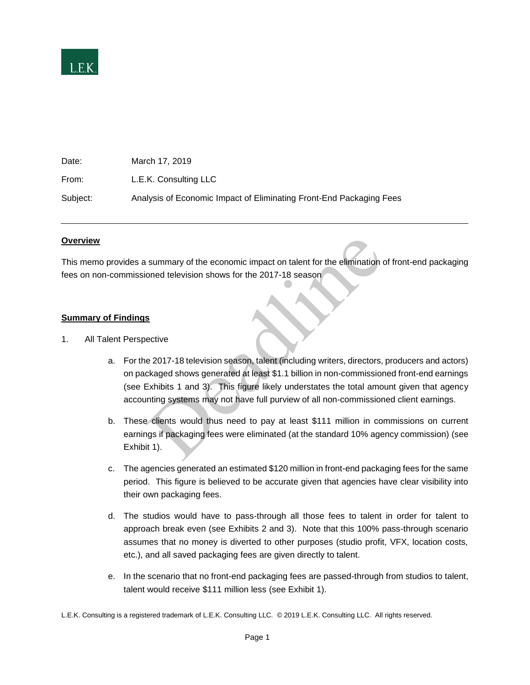

| Date:    | March 17, 2019                                                      |
|----------|---------------------------------------------------------------------|
| From:    | L.E.K. Consulting LLC                                               |
| Subject: | Analysis of Economic Impact of Eliminating Front-End Packaging Fees |

#### **Overview**

This memo provides a summary of the economic impact on talent for the elimination of front-end packaging fees on non-commissioned television shows for the 2017-18 season

### **Summary of Findings**

- 1. All Talent Perspective
- a. For the 2017-18 television season, talent (including writers, directors, producers and actors) on packaged shows generated at least \$1.1 billion in non-commissioned front-end earnings (see Exhibits 1 and 3). This figure likely understates the total amount given that agency accounting systems may not have full purview of all non-commissioned client earnings. summary of the economic impact on talent for the elimination<br>oned television shows for the 2017-18 season<br>Sective<br> $e$  2017-18 television season, talent (including writers, directors,<br>ckaged shows generated at least \$1.1 bi
	- b. These clients would thus need to pay at least \$111 million in commissions on current earnings if packaging fees were eliminated (at the standard 10% agency commission) (see Exhibit 1).
	- c. The agencies generated an estimated \$120 million in front-end packaging fees for the same period. This figure is believed to be accurate given that agencies have clear visibility into their own packaging fees.
	- d. The studios would have to pass-through all those fees to talent in order for talent to approach break even (see Exhibits 2 and 3). Note that this 100% pass-through scenario assumes that no money is diverted to other purposes (studio profit, VFX, location costs, etc.), and all saved packaging fees are given directly to talent.
	- e. In the scenario that no front-end packaging fees are passed-through from studios to talent, talent would receive \$111 million less (see Exhibit 1).

L.E.K. Consulting is a registered trademark of L.E.K. Consulting LLC. © 2019 L.E.K. Consulting LLC. All rights reserved.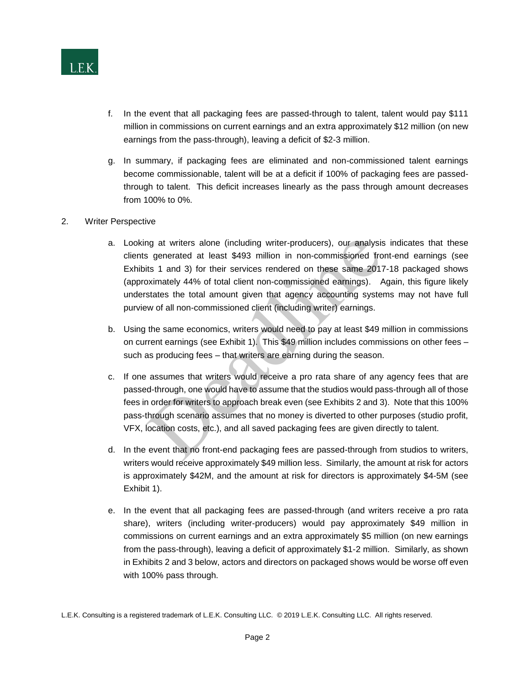

- f. In the event that all packaging fees are passed-through to talent, talent would pay \$111 million in commissions on current earnings and an extra approximately \$12 million (on new earnings from the pass-through), leaving a deficit of \$2-3 million.
- g. In summary, if packaging fees are eliminated and non-commissioned talent earnings become commissionable, talent will be at a deficit if 100% of packaging fees are passedthrough to talent. This deficit increases linearly as the pass through amount decreases from 100% to 0%.
- 2. Writer Perspective
	- a. Looking at writers alone (including writer-producers), our analysis indicates that these clients generated at least \$493 million in non-commissioned front-end earnings (see Exhibits 1 and 3) for their services rendered on these same 2017-18 packaged shows (approximately 44% of total client non-commissioned earnings). Again, this figure likely understates the total amount given that agency accounting systems may not have full purview of all non-commissioned client (including writer) earnings. ing at writers alone (including writer-producers), our analysis<br>s generated at least \$493 million in non-commissioned fro<br>its 1 and 3) for their services rendered on these same 2017<br>oximately 44% of total client non-commis
	- b. Using the same economics, writers would need to pay at least \$49 million in commissions on current earnings (see Exhibit 1). This \$49 million includes commissions on other fees – such as producing fees – that writers are earning during the season.
	- c. If one assumes that writers would receive a pro rata share of any agency fees that are passed-through, one would have to assume that the studios would pass-through all of those fees in order for writers to approach break even (see Exhibits 2 and 3). Note that this 100% pass-through scenario assumes that no money is diverted to other purposes (studio profit, VFX, location costs, etc.), and all saved packaging fees are given directly to talent.
	- d. In the event that no front-end packaging fees are passed-through from studios to writers, writers would receive approximately \$49 million less. Similarly, the amount at risk for actors is approximately \$42M, and the amount at risk for directors is approximately \$4-5M (see Exhibit 1).
	- e. In the event that all packaging fees are passed-through (and writers receive a pro rata share), writers (including writer-producers) would pay approximately \$49 million in commissions on current earnings and an extra approximately \$5 million (on new earnings from the pass-through), leaving a deficit of approximately \$1-2 million. Similarly, as shown in Exhibits 2 and 3 below, actors and directors on packaged shows would be worse off even with 100% pass through.

L.E.K. Consulting is a registered trademark of L.E.K. Consulting LLC. © 2019 L.E.K. Consulting LLC. All rights reserved.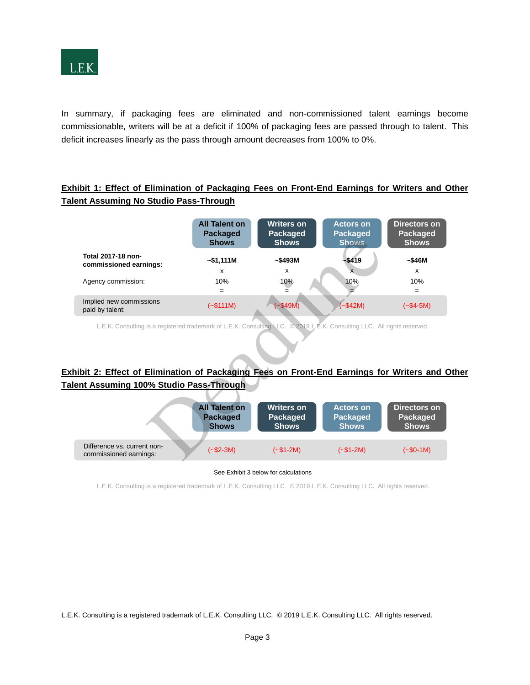

In summary, if packaging fees are eliminated and non-commissioned talent earnings become commissionable, writers will be at a deficit if 100% of packaging fees are passed through to talent. This deficit increases linearly as the pass through amount decreases from 100% to 0%.

### **Exhibit 1: Effect of Elimination of Packaging Fees on Front-End Earnings for Writers and Other Talent Assuming No Studio Pass-Through**

|                                                                                                                                                                                                                   | <b>All Talent on</b><br>Packaged<br><b>Shows</b>        | <b>Writers on</b><br>Packaged<br><b>Shows</b>        | <b>Actors on</b><br><b>Packaged</b><br><b>Shows</b> | <b>Directors</b> on<br>Packaged<br><b>Shows</b> |  |  |
|-------------------------------------------------------------------------------------------------------------------------------------------------------------------------------------------------------------------|---------------------------------------------------------|------------------------------------------------------|-----------------------------------------------------|-------------------------------------------------|--|--|
| Total 2017-18 non-<br>commissioned earnings:                                                                                                                                                                      | $-$ \$1,111M<br>x                                       | ~5493M<br>X                                          | $-$ \$419<br>$\mathbf{x}$                           | ~546M<br>$\mathbf{x}$                           |  |  |
| Agency commission:                                                                                                                                                                                                | 10%<br>$=$                                              | 10%<br>=                                             | 10%                                                 | 10%<br>$=$                                      |  |  |
| Implied new commissions<br>paid by talent:                                                                                                                                                                        | $(-$111M)$                                              | $-$ \$49M)                                           | $(-$42M)$                                           | $(-\$4-5M)$                                     |  |  |
| L.E.K. Consulting is a registered trademark of L.E.K. Consulting LLC. @2019 L.E.K. Consulting LLC. All rights reserved.<br>bit 2: Effect of Elimination of Packaging Fees on Front-End Earnings for Writers and ( |                                                         |                                                      |                                                     |                                                 |  |  |
| nt Assuming 100% Studio Pass-Through                                                                                                                                                                              |                                                         |                                                      |                                                     |                                                 |  |  |
|                                                                                                                                                                                                                   | <b>All Talent on</b><br><b>Packaged</b><br><b>Shows</b> | <b>Writers on</b><br><b>Packaged</b><br><b>Shows</b> | <b>Actors on</b><br><b>Packaged</b><br><b>Shows</b> | <b>Directors</b> on<br>Packaged<br><b>Shows</b> |  |  |
| Difference vs. current non-<br>commissioned earnings:                                                                                                                                                             | $(-\$2-3M)$                                             | $(-\$1-2M)$                                          | $(-\$1-2M)$                                         | $(-\$0-1M)$                                     |  |  |

## **Exhibit 2: Effect of Elimination of Packaging Fees on Front-End Earnings for Writers and Other Talent Assuming 100% Studio Pass-Through**

|                                                       | <b>All Talent on</b> | <b>Writers on</b> | <b>Actors on</b> | Directors on |
|-------------------------------------------------------|----------------------|-------------------|------------------|--------------|
|                                                       | <b>Packaged</b>      | Packaged          | <b>Packaged</b>  | Packaged     |
|                                                       | <b>Shows</b>         | <b>Shows</b>      | <b>Shows</b>     | <b>Shows</b> |
| Difference vs. current non-<br>commissioned earnings: | $(-\$2-3M)$          | $(-\$1-2M)$       | $(-\$1-2M)$      | $(-\$0-1M)$  |

**11 CONFIDENTIAL SEALTER CONFIDENTIAL SECULATE ATTACK PRODUCT:** See Exhibit 3 below for calculations

L.E.K. Consulting is a registered trademark of L.E.K. Consulting LLC. © 2019 L.E.K. Consulting LLC. All rights reserved.

L.E.K. Consulting is a registered trademark of L.E.K. Consulting LLC. © 2019 L.E.K. Consulting LLC. All rights reserved.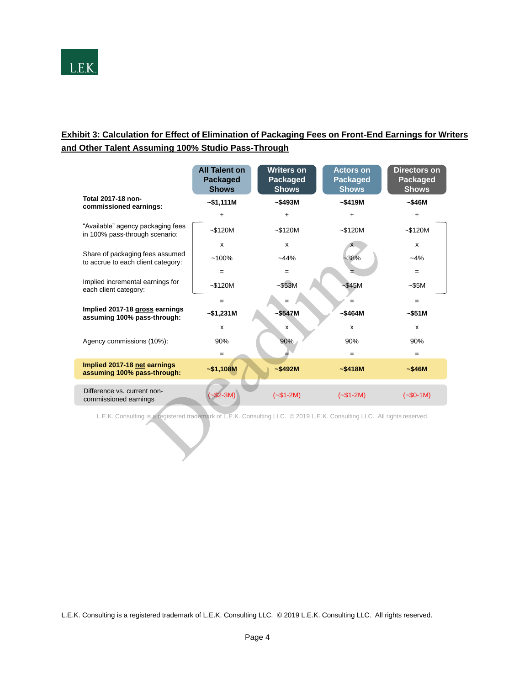

# **Exhibit 3: Calculation for Effect of Elimination of Packaging Fees on Front-End Earnings for Writers and Other Talent Assuming 100% Studio Pass-Through**

|                                                                                                                          | <b>All Talent on</b><br><b>Packaged</b><br><b>Shows</b> | <b>Writers on</b><br>Packaged<br><b>Shows</b> | <b>Actors on</b><br><b>Packaged</b><br><b>Shows</b> | <b>Directors on</b><br>Packaged<br><b>Shows</b> |  |  |  |
|--------------------------------------------------------------------------------------------------------------------------|---------------------------------------------------------|-----------------------------------------------|-----------------------------------------------------|-------------------------------------------------|--|--|--|
| Total 2017-18 non-<br>commissioned earnings:                                                                             | ~51,111M                                                | ~5493M                                        | ~5419M                                              | ~546M                                           |  |  |  |
|                                                                                                                          | $\ddot{}$                                               | $\ddot{}$                                     | $\ddot{}$                                           | $\ddot{}$                                       |  |  |  |
| "Available" agency packaging fees<br>in 100% pass-through scenario:                                                      | $~-$120M$                                               | $-$120M$                                      | $~-$120M$                                           | $-$120M$                                        |  |  |  |
|                                                                                                                          | X                                                       | $\mathsf{x}$                                  |                                                     | x                                               |  |  |  |
| Share of packaging fees assumed<br>to accrue to each client category:                                                    | $~100\%$                                                | $-44%$                                        | $-38%$                                              | $-4%$                                           |  |  |  |
|                                                                                                                          | $=$                                                     | $=$                                           |                                                     | $=$                                             |  |  |  |
| Implied incremental earnings for<br>each client category:                                                                | $~-$120M$                                               | $-$ \$53M                                     | $-S45M$                                             | $-$ \$5M                                        |  |  |  |
|                                                                                                                          | $=$                                                     | $=$                                           |                                                     | $=$                                             |  |  |  |
| Implied 2017-18 gross earnings<br>assuming 100% pass-through:                                                            | $-$1,231M$                                              | $-$ \$547M                                    | $~5464M$                                            | ~551M                                           |  |  |  |
|                                                                                                                          | X                                                       | x                                             | $\mathsf{x}$                                        | $\mathsf{x}$                                    |  |  |  |
| Agency commissions (10%):                                                                                                | 90%                                                     | 90%                                           | 90%                                                 | 90%                                             |  |  |  |
|                                                                                                                          | $=$                                                     |                                               | $=$                                                 | $=$                                             |  |  |  |
| Implied 2017-18 net earnings<br>assuming 100% pass-through:                                                              | $-$1,108M$                                              | ~5492M                                        | ~5418M                                              | ~546M                                           |  |  |  |
| Difference vs. current non-<br>commissioned earnings                                                                     | $-$ \$2-3M)                                             | $(-\$1-2M)$                                   | $(-\$1-2M)$                                         | $(-\$0-1M)$                                     |  |  |  |
| L.E.K. Consulting is a registered trademark of L.E.K. Consulting LLC. © 2019 L.E.K. Consulting LLC. All rights reserved. |                                                         |                                               |                                                     |                                                 |  |  |  |

L.E.K. Consulting is a registered trademark of L.E.K. Consulting LLC. © 2019 L.E.K. Consulting LLC. All rights reserved.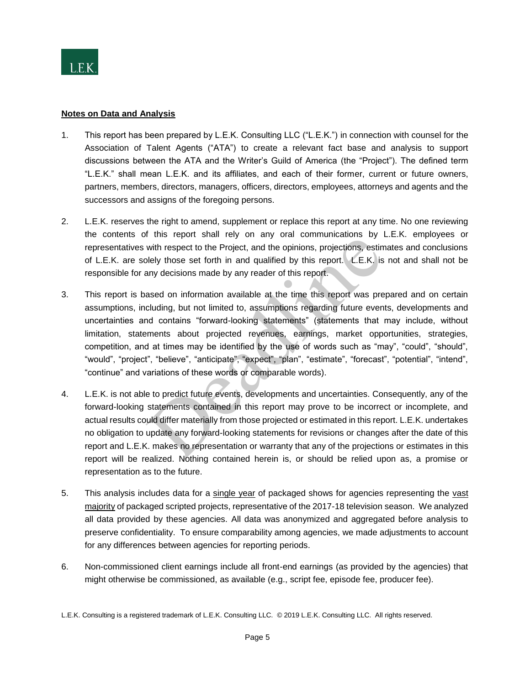

### **Notes on Data and Analysis**

- 1. This report has been prepared by L.E.K. Consulting LLC ("L.E.K.") in connection with counsel for the Association of Talent Agents ("ATA") to create a relevant fact base and analysis to support discussions between the ATA and the Writer's Guild of America (the "Project"). The defined term "L.E.K." shall mean L.E.K. and its affiliates, and each of their former, current or future owners, partners, members, directors, managers, officers, directors, employees, attorneys and agents and the successors and assigns of the foregoing persons.
- 2. L.E.K. reserves the right to amend, supplement or replace this report at any time. No one reviewing the contents of this report shall rely on any oral communications by L.E.K. employees or representatives with respect to the Project, and the opinions, projections, estimates and conclusions of L.E.K. are solely those set forth in and qualified by this report. L.E.K. is not and shall not be responsible for any decisions made by any reader of this report.
- 3. This report is based on information available at the time this report was prepared and on certain assumptions, including, but not limited to, assumptions regarding future events, developments and uncertainties and contains "forward-looking statements" (statements that may include, without limitation, statements about projected revenues, earnings, market opportunities, strategies, competition, and at times may be identified by the use of words such as "may", "could", "should", "would", "project", "believe", "anticipate", "expect", "plan", "estimate", "forecast", "potential", "intend", "continue" and variations of these words or comparable words). This "close to the Project, and the opinions, projections, estinated in the project of the Project, and the opinions, projections, estinally those set forth in and qualified by this report. L.E.K. is any decisions made by
- 4. L.E.K. is not able to predict future events, developments and uncertainties. Consequently, any of the forward-looking statements contained in this report may prove to be incorrect or incomplete, and actual results could differ materially from those projected or estimated in this report. L.E.K. undertakes no obligation to update any forward-looking statements for revisions or changes after the date of this report and L.E.K. makes no representation or warranty that any of the projections or estimates in this report will be realized. Nothing contained herein is, or should be relied upon as, a promise or representation as to the future.
- 5. This analysis includes data for a single year of packaged shows for agencies representing the vast majority of packaged scripted projects, representative of the 2017-18 television season. We analyzed all data provided by these agencies. All data was anonymized and aggregated before analysis to preserve confidentiality. To ensure comparability among agencies, we made adjustments to account for any differences between agencies for reporting periods.
- 6. Non-commissioned client earnings include all front-end earnings (as provided by the agencies) that might otherwise be commissioned, as available (e.g., script fee, episode fee, producer fee).

L.E.K. Consulting is a registered trademark of L.E.K. Consulting LLC. © 2019 L.E.K. Consulting LLC. All rights reserved.